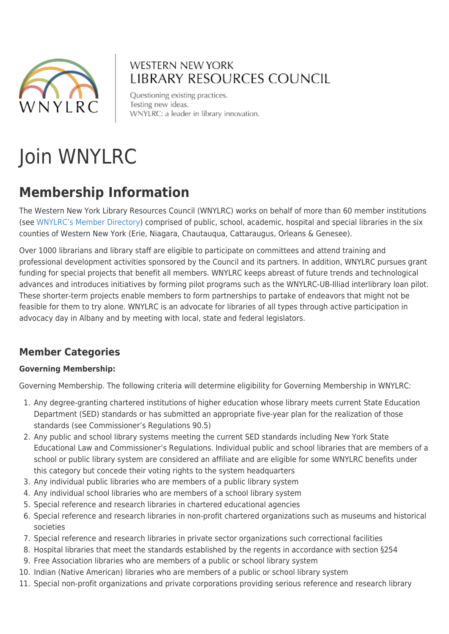

## **WESTERN NEW YORK** LIBRARY RESOURCES COUNCIL

Questioning existing practices. Testing new ideas. WNYLRC: a leader in library innovation.

# Join WNYLRC

# **Membership Information**

The Western New York Library Resources Council (WNYLRC) works on behalf of more than 60 member institutions (see [WNYLRC's Member Directory\)](http://www.wnylrc.org/all-members) comprised of public, school, academic, hospital and special libraries in the six counties of Western New York (Erie, Niagara, Chautauqua, Cattaraugus, Orleans & Genesee).

Over 1000 librarians and library staff are eligible to participate on committees and attend training and professional development activities sponsored by the Council and its partners. In addition, WNYLRC pursues grant funding for special projects that benefit all members. WNYLRC keeps abreast of future trends and technological advances and introduces initiatives by forming pilot programs such as the WNYLRC-UB-Illiad interlibrary loan pilot. These shorter-term projects enable members to form partnerships to partake of endeavors that might not be feasible for them to try alone. WNYLRC is an advocate for libraries of all types through active participation in advocacy day in Albany and by meeting with local, state and federal legislators.

### **Member Categories**

#### **Governing Membership:**

Governing Membership. The following criteria will determine eligibility for Governing Membership in WNYLRC:

- 1. Any degree-granting chartered institutions of higher education whose library meets current State Education Department (SED) standards or has submitted an appropriate five-year plan for the realization of those standards (see Commissioner's Regulations 90.5)
- 2. Any public and school library systems meeting the current SED standards including New York State Educational Law and Commissioner's Regulations. Individual public and school libraries that are members of a school or public library system are considered an affiliate and are eligible for some WNYLRC benefits under this category but concede their voting rights to the system headquarters
- 3. Any individual public libraries who are members of a public library system
- 4. Any individual school libraries who are members of a school library system
- 5. Special reference and research libraries in chartered educational agencies
- 6. Special reference and research libraries in non-profit chartered organizations such as museums and historical societies
- 7. Special reference and research libraries in private sector organizations such correctional facilities
- 8. Hospital libraries that meet the standards established by the regents in accordance with section §254
- 9. Free Association libraries who are members of a public or school library system
- 10. Indian (Native American) libraries who are members of a public or school library system
- 11. Special non-profit organizations and private corporations providing serious reference and research library